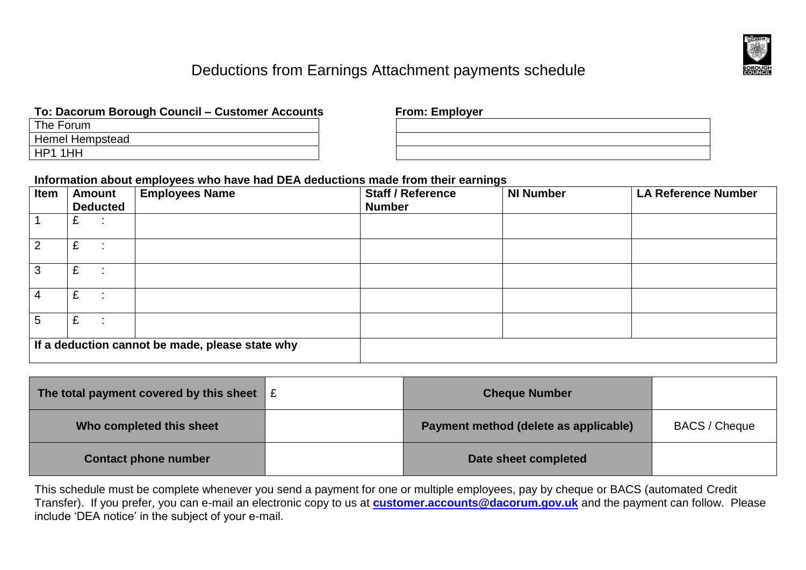

# Deductions from Earnings Attachment payments schedule

# **To: Dacorum Borough Council – Customer Accounts From: Employer**

| The Forum       |
|-----------------|
| Hemel Hempstead |
| HP1 1HH         |

| <b>TION.</b> ENPLOYER |  |  |  |  |  |
|-----------------------|--|--|--|--|--|
|                       |  |  |  |  |  |
|                       |  |  |  |  |  |
|                       |  |  |  |  |  |
|                       |  |  |  |  |  |
|                       |  |  |  |  |  |
|                       |  |  |  |  |  |

### **Information about employees who have had DEA deductions made from their earnings**

| Item                                            | <b>Amount</b><br><b>Deducted</b> | <b>Employees Name</b> | <b>Staff / Reference</b><br><b>Number</b> | <b>NI Number</b> | <b>LA Reference Number</b> |
|-------------------------------------------------|----------------------------------|-----------------------|-------------------------------------------|------------------|----------------------------|
|                                                 |                                  |                       |                                           |                  |                            |
| 2                                               | £                                |                       |                                           |                  |                            |
| 3                                               | £                                |                       |                                           |                  |                            |
| 4                                               | £                                |                       |                                           |                  |                            |
| 5                                               | £                                |                       |                                           |                  |                            |
| If a deduction cannot be made, please state why |                                  |                       |                                           |                  |                            |

| The total payment covered by this sheet | £ | <b>Cheque Number</b>                  |                      |
|-----------------------------------------|---|---------------------------------------|----------------------|
| Who completed this sheet                |   | Payment method (delete as applicable) | <b>BACS / Cheque</b> |
| <b>Contact phone number</b>             |   | Date sheet completed                  |                      |

This schedule must be complete whenever you send a payment for one or multiple employees, pay by cheque or BACS (automated Credit Transfer). If you prefer, you can e-mail an electronic copy to us at **[customer.accounts@dacorum.gov.uk](mailto:customer.accounts@dacorum.gov.uk)** and the payment can follow. Please include 'DEA notice' in the subject of your e-mail.